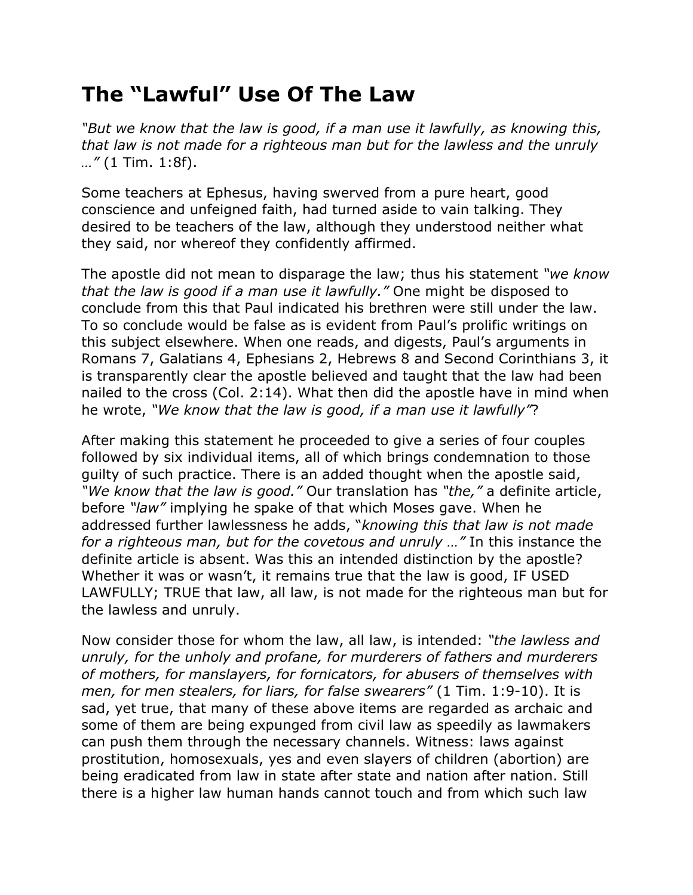## **The "Lawful" Use Of The Law**

*"But we know that the law is good, if a man use it lawfully, as knowing this, that law is not made for a righteous man but for the lawless and the unruly …"* (1 Tim. 1:8f).

Some teachers at Ephesus, having swerved from a pure heart, good conscience and unfeigned faith, had turned aside to vain talking. They desired to be teachers of the law, although they understood neither what they said, nor whereof they confidently affirmed.

The apostle did not mean to disparage the law; thus his statement *"we know that the law is good if a man use it lawfully."* One might be disposed to conclude from this that Paul indicated his brethren were still under the law. To so conclude would be false as is evident from Paul's prolific writings on this subject elsewhere. When one reads, and digests, Paul's arguments in Romans 7, Galatians 4, Ephesians 2, Hebrews 8 and Second Corinthians 3, it is transparently clear the apostle believed and taught that the law had been nailed to the cross (Col. 2:14). What then did the apostle have in mind when he wrote, *"We know that the law is good, if a man use it lawfully"*?

After making this statement he proceeded to give a series of four couples followed by six individual items, all of which brings condemnation to those guilty of such practice. There is an added thought when the apostle said, *"We know that the law is good."* Our translation has *"the,"* a definite article, before *"law"* implying he spake of that which Moses gave. When he addressed further lawlessness he adds, "*knowing this that law is not made for a righteous man, but for the covetous and unruly …"* In this instance the definite article is absent. Was this an intended distinction by the apostle? Whether it was or wasn't, it remains true that the law is good, IF USED LAWFULLY; TRUE that law, all law, is not made for the righteous man but for the lawless and unruly.

Now consider those for whom the law, all law, is intended: *"the lawless and unruly, for the unholy and profane, for murderers of fathers and murderers of mothers, for manslayers, for fornicators, for abusers of themselves with men, for men stealers, for liars, for false swearers"* (1 Tim. 1:9-10). It is sad, yet true, that many of these above items are regarded as archaic and some of them are being expunged from civil law as speedily as lawmakers can push them through the necessary channels. Witness: laws against prostitution, homosexuals, yes and even slayers of children (abortion) are being eradicated from law in state after state and nation after nation. Still there is a higher law human hands cannot touch and from which such law